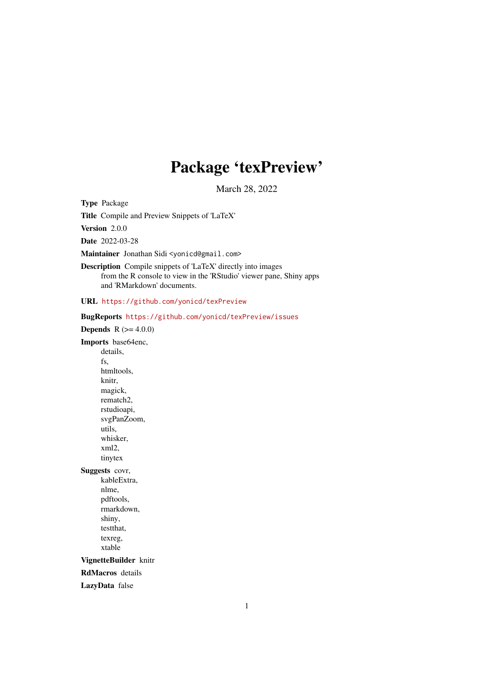# Package 'texPreview'

March 28, 2022

<span id="page-0-0"></span>Type Package

Title Compile and Preview Snippets of 'LaTeX'

Version 2.0.0

Date 2022-03-28

Maintainer Jonathan Sidi <yonicd@gmail.com>

Description Compile snippets of 'LaTeX' directly into images from the R console to view in the 'RStudio' viewer pane, Shiny apps and 'RMarkdown' documents.

URL <https://github.com/yonicd/texPreview>

BugReports <https://github.com/yonicd/texPreview/issues> **Depends**  $R (= 4.0.0)$ Imports base64enc, details, fs, htmltools, knitr, magick, rematch2, rstudioapi, svgPanZoom, utils, whisker, xml2, tinytex Suggests covr, kableExtra, nlme, pdftools, rmarkdown, shiny, testthat, texreg, xtable VignetteBuilder knitr

RdMacros details

LazyData false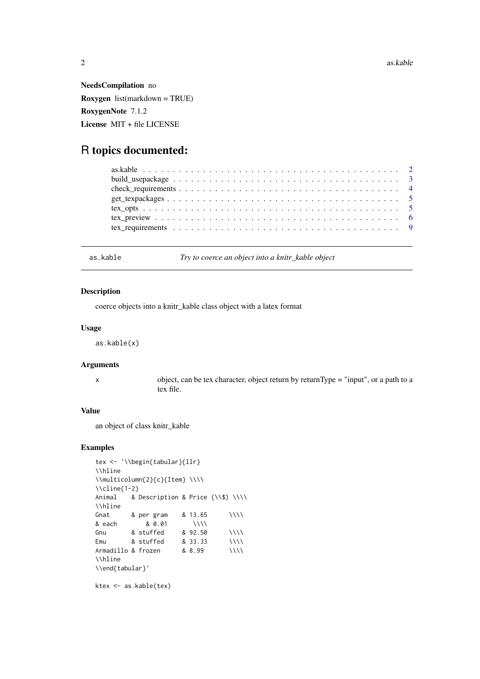<span id="page-1-0"></span>NeedsCompilation no Roxygen list(markdown = TRUE) RoxygenNote 7.1.2 License MIT + file LICENSE

# R topics documented:

as.kable *Try to coerce an object into a knitr\_kable object*

# Description

coerce objects into a knitr\_kable class object with a latex format

#### Usage

as.kable(x)

#### Arguments

x object, can be tex character, object return by returnType = "input", or a path to a tex file.

#### Value

an object of class knitr\_kable

#### Examples

```
tex <- '\\begin{tabular}{llr}
\\hline
\\mathrm{2}{c}{Item} \ \\\cline{1-2}
Animal & Description & Price (\\$) \\\\
\\hline
Gnat & per gram & 13.65 \\\\
& each & 0.01 \\\\
Gnu & stuffed & 92.50 \\\\
Emu & stuffed & 33.33 \\\\<br>Armadillo & frozen & 8.99 \\\\
Armadillo & frozen & 8.99 \\\\
\\hline
\\end{tabular}'
```
ktex <- as.kable(tex)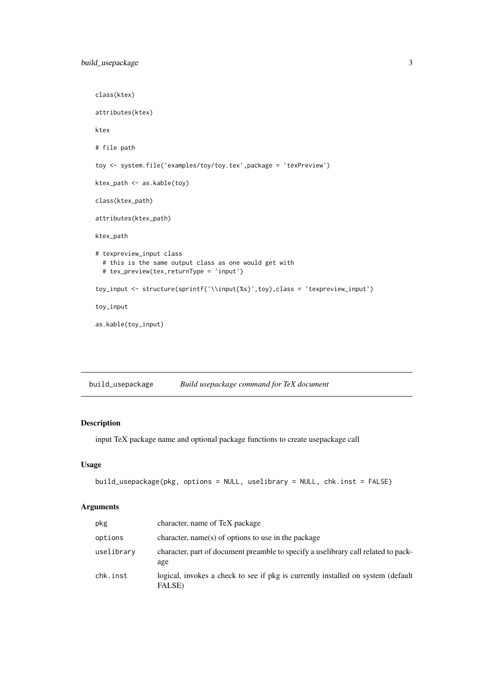```
class(ktex)
attributes(ktex)
ktex
# file path
toy <- system.file('examples/toy/toy.tex',package = 'texPreview')
ktex_path <- as.kable(toy)
class(ktex_path)
attributes(ktex_path)
ktex_path
# texpreview_input class
  # this is the same output class as one would get with
  # tex_preview(tex,returnType = 'input')
toy_input <- structure(sprintf('\\input{%s}',toy),class = 'texpreview_input')
toy_input
as.kable(toy_input)
```
<span id="page-2-1"></span>

| build_usepackage |  | Build usepackage command for TeX document |
|------------------|--|-------------------------------------------|
|------------------|--|-------------------------------------------|

## Description

input TeX package name and optional package functions to create usepackage call

# Usage

```
build_usepackage(pkg, options = NULL, uselibrary = NULL, chk.inst = FALSE)
```
#### Arguments

| pkg        | character, name of TeX package                                                             |
|------------|--------------------------------------------------------------------------------------------|
| options    | character, name(s) of options to use in the package                                        |
| uselibrary | character, part of document preamble to specify a uselibrary call related to pack-<br>age  |
| chk.inst   | logical, invokes a check to see if pkg is currently installed on system (default<br>FALSE) |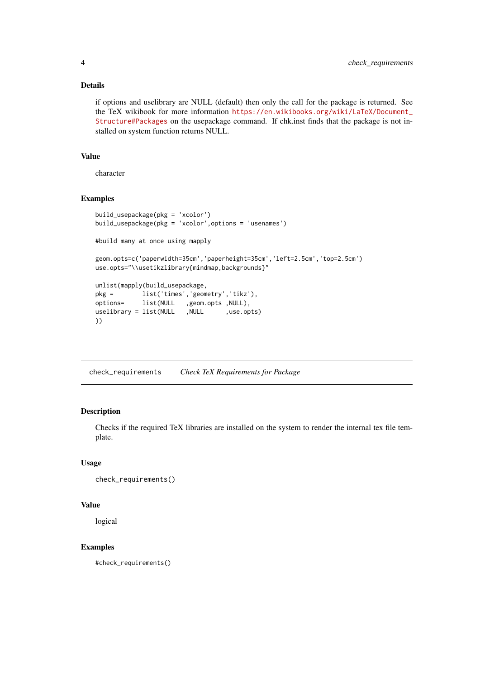# <span id="page-3-0"></span>Details

if options and uselibrary are NULL (default) then only the call for the package is returned. See the TeX wikibook for more information [https://en.wikibooks.org/wiki/LaTeX/Document\\_](https://en.wikibooks.org/wiki/LaTeX/Document_Structure#Packages) [Structure#Packages](https://en.wikibooks.org/wiki/LaTeX/Document_Structure#Packages) on the usepackage command. If chk.inst finds that the package is not installed on system function returns NULL.

#### Value

character

# Examples

```
build_usepackage(pkg = 'xcolor')
build_usepackage(pkg = 'xcolor',options = 'usenames')
#build many at once using mapply
geom.opts=c('paperwidth=35cm','paperheight=35cm','left=2.5cm','top=2.5cm')
use.opts="\\usetikzlibrary{mindmap,backgrounds}"
unlist(mapply(build_usepackage,
pkg = list('times','geometry','tikz'),
options= list(NULL ,geom.opts ,NULL),
uselibrary = list(NULL ,NULL ,use.opts)
))
```
check\_requirements *Check TeX Requirements for Package*

# Description

Checks if the required TeX libraries are installed on the system to render the internal tex file template.

#### Usage

```
check_requirements()
```
#### Value

logical

#### Examples

#check\_requirements()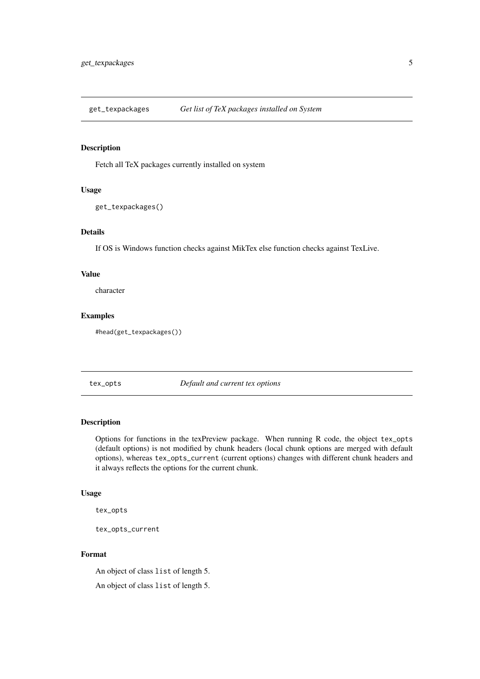<span id="page-4-0"></span>get\_texpackages *Get list of TeX packages installed on System*

#### Description

Fetch all TeX packages currently installed on system

# Usage

```
get_texpackages()
```
# Details

If OS is Windows function checks against MikTex else function checks against TexLive.

# Value

character

# Examples

#head(get\_texpackages())

tex\_opts *Default and current tex options*

#### Description

Options for functions in the texPreview package. When running R code, the object tex\_opts (default options) is not modified by chunk headers (local chunk options are merged with default options), whereas tex\_opts\_current (current options) changes with different chunk headers and it always reflects the options for the current chunk.

# Usage

tex\_opts

tex\_opts\_current

# Format

An object of class list of length 5.

An object of class list of length 5.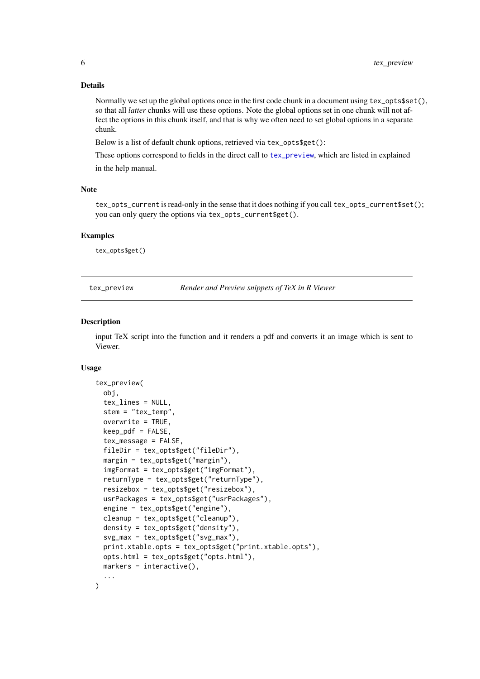#### Details

Normally we set up the global options once in the first code chunk in a document using tex\_opts\$set(), so that all *latter* chunks will use these options. Note the global options set in one chunk will not affect the options in this chunk itself, and that is why we often need to set global options in a separate chunk.

Below is a list of default chunk options, retrieved via tex\_opts\$get():

These options correspond to fields in the direct call to [tex\\_preview](#page-5-1), which are listed in explained

in the help manual.

# Note

tex\_opts\_current is read-only in the sense that it does nothing if you call tex\_opts\_current\$set(); you can only query the options via tex\_opts\_current\$get().

#### Examples

tex\_opts\$get()

<span id="page-5-1"></span>tex\_preview *Render and Preview snippets of TeX in R Viewer*

#### Description

input TeX script into the function and it renders a pdf and converts it an image which is sent to Viewer.

#### Usage

```
tex_preview(
 obj,
  tex_lines = NULL,
  stem = "tex_temp",
  overwrite = TRUE,
 keep_pdf = FALSE,
  tex_message = FALSE,
  fileDir = tex opts$get("fileDir").
 margin = tex_opts$get("margin"),
  imgFormat = tex_opts$get("imgFormat"),
  returnType = tex_opts$get("returnType"),
  resizebox = tex_opts$get("resizebox"),
 usrPackages = tex_opts$get("usrPackages"),
  engine = tex_opts$get("engine"),
  cleanup = tex_opts$get("cleanup"),
  density = tex_opts$get("density"),
  svg_max = tex_opts$get("svg_max"),
 print.xtable.opts = tex_opts$get("print.xtable.opts"),
  opts.html = tex_opts$get("opts.html"),
 markers = interactive(),...
)
```
<span id="page-5-0"></span>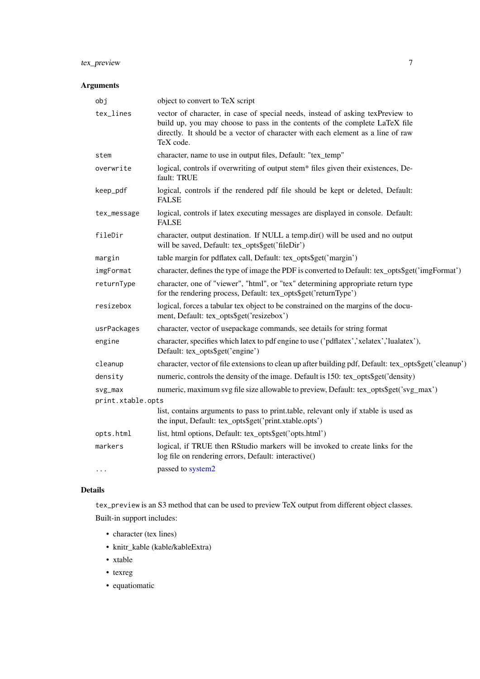# tex\_preview 7

# Arguments

| obj               | object to convert to TeX script                                                                                                                                                                                                                               |
|-------------------|---------------------------------------------------------------------------------------------------------------------------------------------------------------------------------------------------------------------------------------------------------------|
| tex_lines         | vector of character, in case of special needs, instead of asking texPreview to<br>build up, you may choose to pass in the contents of the complete LaTeX file<br>directly. It should be a vector of character with each element as a line of raw<br>TeX code. |
| stem              | character, name to use in output files, Default: "tex_temp"                                                                                                                                                                                                   |
| overwrite         | logical, controls if overwriting of output stem* files given their existences, De-<br>fault: TRUE                                                                                                                                                             |
| keep_pdf          | logical, controls if the rendered pdf file should be kept or deleted, Default:<br><b>FALSE</b>                                                                                                                                                                |
| tex_message       | logical, controls if latex executing messages are displayed in console. Default:<br><b>FALSE</b>                                                                                                                                                              |
| fileDir           | character, output destination. If NULL a temp.dir() will be used and no output<br>will be saved, Default: tex_opts\$get('fileDir')                                                                                                                            |
| margin            | table margin for pdflatex call, Default: tex_opts\$get('margin')                                                                                                                                                                                              |
| imgFormat         | character, defines the type of image the PDF is converted to Default: tex_opts\$get('imgFormat')                                                                                                                                                              |
| returnType        | character, one of "viewer", "html", or "tex" determining appropriate return type<br>for the rendering process, Default: tex_opts\$get('returnType')                                                                                                           |
| resizebox         | logical, forces a tabular tex object to be constrained on the margins of the docu-<br>ment, Default: tex_opts\$get('resizebox')                                                                                                                               |
| usrPackages       | character, vector of usepackage commands, see details for string format                                                                                                                                                                                       |
| engine            | character, specifies which latex to pdf engine to use ('pdflatex','xelatex','lualatex'),<br>Default: tex_opts\$get('engine')                                                                                                                                  |
| cleanup           | character, vector of file extensions to clean up after building pdf, Default: tex_opts\$get('cleanup')                                                                                                                                                        |
| density           | numeric, controls the density of the image. Default is 150: tex_opts\$get('density)                                                                                                                                                                           |
| svg_max           | numeric, maximum svg file size allowable to preview, Default: tex_opts\$get('svg_max')                                                                                                                                                                        |
| print.xtable.opts |                                                                                                                                                                                                                                                               |
|                   | list, contains arguments to pass to print.table, relevant only if xtable is used as<br>the input, Default: tex_opts\$get('print.xtable.opts')                                                                                                                 |
| opts.html         | list, html options, Default: tex_opts\$get('opts.html')                                                                                                                                                                                                       |
| markers           | logical, if TRUE then RStudio markers will be invoked to create links for the<br>log file on rendering errors, Default: interactive()                                                                                                                         |
| .                 | passed to system2                                                                                                                                                                                                                                             |

# Details

tex\_preview is an S3 method that can be used to preview TeX output from different object classes. Built-in support includes:

- character (tex lines)
- knitr\_kable (kable/kableExtra)
- xtable
- texreg
- equatiomatic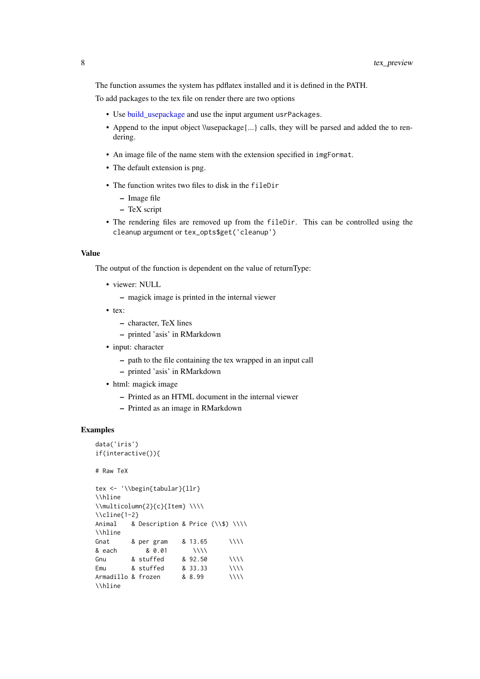To add packages to the tex file on render there are two options

- Use [build\\_usepackage](#page-2-1) and use the input argument usrPackages.
- Append to the input object \\usepackage{...} calls, they will be parsed and added the to rendering.
- An image file of the name stem with the extension specified in imgFormat.
- The default extension is png.
- The function writes two files to disk in the fileDir
	- Image file
	- TeX script
- The rendering files are removed up from the fileDir. This can be controlled using the cleanup argument or tex\_opts\$get('cleanup')

#### Value

The output of the function is dependent on the value of returnType:

- viewer: NULL
	- magick image is printed in the internal viewer
- tex:
	- character, TeX lines
	- printed 'asis' in RMarkdown
- input: character
	- path to the file containing the tex wrapped in an input call
	- printed 'asis' in RMarkdown
- html: magick image
	- Printed as an HTML document in the internal viewer
	- Printed as an image in RMarkdown

#### Examples

```
data('iris')
if(interactive()){
```

```
# Raw TeX
```

```
tex <- '\\begin{tabular}{llr}
\\hline
\\mathrm{2}{c}{Item} \ \\\\\cline{1-2}
Animal & Description & Price (\\$) \\\\
\\hline
Gnat & per gram & 13.65 \\\\
& each & 0.01 \\\\
Gnu & stuffed & 92.50 \\\\
Emu & stuffed & 33.33 \\\\
Armadillo & frozen & 8.99 \\\\
\\hline
```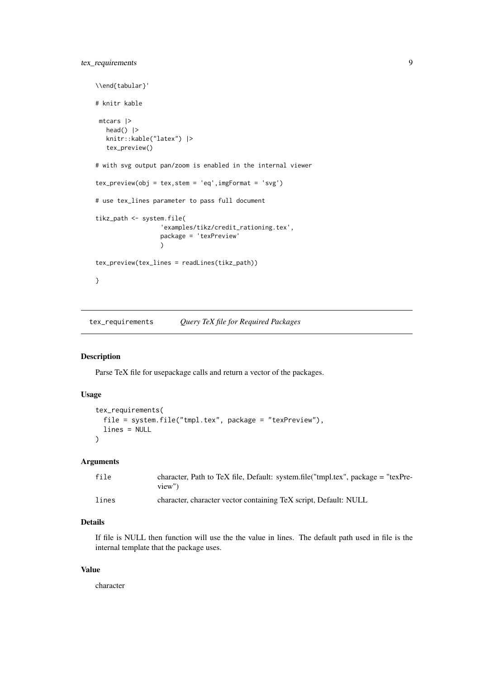```
\\end{tabular}'
# knitr kable
mtcars |>
  head() |>
   knitr::kable("latex") |>
   tex_preview()
# with svg output pan/zoom is enabled in the internal viewer
tex_preview(obj = tex,stem = 'eq',imgFormat = 'svg')
# use tex_lines parameter to pass full document
tikz_path <- system.file(
                  'examples/tikz/credit_rationing.tex',
                  package = 'texPreview'
                  \lambdatex_preview(tex_lines = readLines(tikz_path))
}
```
tex\_requirements *Query TeX file for Required Packages*

# Description

Parse TeX file for usepackage calls and return a vector of the packages.

#### Usage

```
tex_requirements(
  file = system.file("tmpl.tex", package = "texPreview"),
  lines = NULL
)
```
#### Arguments

| file  | character, Path to TeX file, Default: system.file("tmpl.tex", package = "texPre-<br>view") |
|-------|--------------------------------------------------------------------------------------------|
| lines | character, character vector containing TeX script, Default: NULL                           |

#### Details

If file is NULL then function will use the the value in lines. The default path used in file is the internal template that the package uses.

#### Value

character